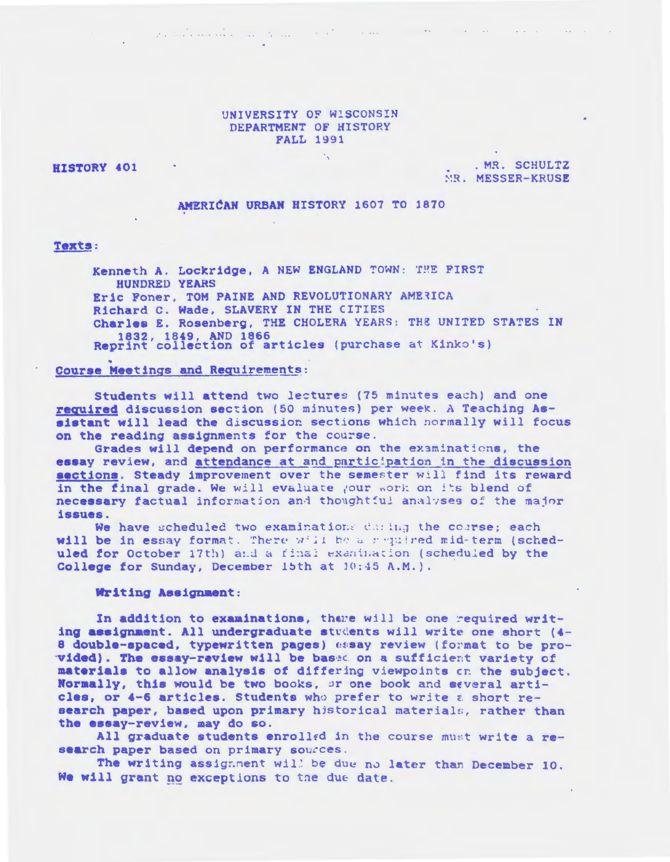### UNIVERSITY OF WISCONSIN DEPARTMENT OF HISTORY **FALL 1991**

 $\mathcal{L}^{\prime}$  , which is a simple state of the state of the state of the state of the state of the state of the state of the state of the state of the state of the state of the state of the state of the state of the state

HISTORY 401

. MR. SCHULTZ MR. MESSER-KRUSE

**Contractor** 

## AMERICAN URBAN HISTORY 1607 TO 1870

### **Texts:**

Kenneth A. Lockridge, A NEW ENGLAND TOWN: THE FIRST **HUNDRED YEARS** Eric Foner, TOM PAINE AND REVOLUTIONARY AMERICA Richard C. Wade, SLAVERY IN THE CITIES Charles E. Rosenberg, THE CHOLERA YEARS: THE UNITED STATES IN 1832, 1849, AND 1866<br>Reprint collection of articles (purchase at Kinko's)

#### Course Meetings and Requirements:

Students will attend two lectures (75 minutes each) and one required discussion section (50 minutes) per week. A Teaching Assistant will lead the discussion sections which normally will focus on the reading assignments for the course.

Grades will depend on performance on the examinations, the essay review, and attendance at and participation in the discussion sections. Steady improvement over the semester will find its reward in the final grade. We will evaluate your work on its blend of necessary factual information and thoughtful analyses of the major issues.

We have scheduled two examinations during the course; each will be in essay format. There will be a required mid-term (scheduled for October 17th) and a final examination (scheduled by the College for Sunday, December 15th at 10:45 A.M.).

#### Writing Assignment:

In addition to examinations, there will be one required writing assignment. All undergraduate students will write one short (4-8 double-spaced, typewritten pages) essay review (format to be provided). The essay-review will be based on a sufficient variety of materials to allow analysis of differing viewpoints on the subject. Normally, this would be two books, or one book and several articles, or 4-6 articles. Students who prefer to write a short research paper, based upon primary historical materials, rather than the essay-review, may do so.

All graduate students enrolled in the course must write a research paper based on primary sources.

The writing assignment will be due no later than December 10. We will grant no exceptions to the due date.